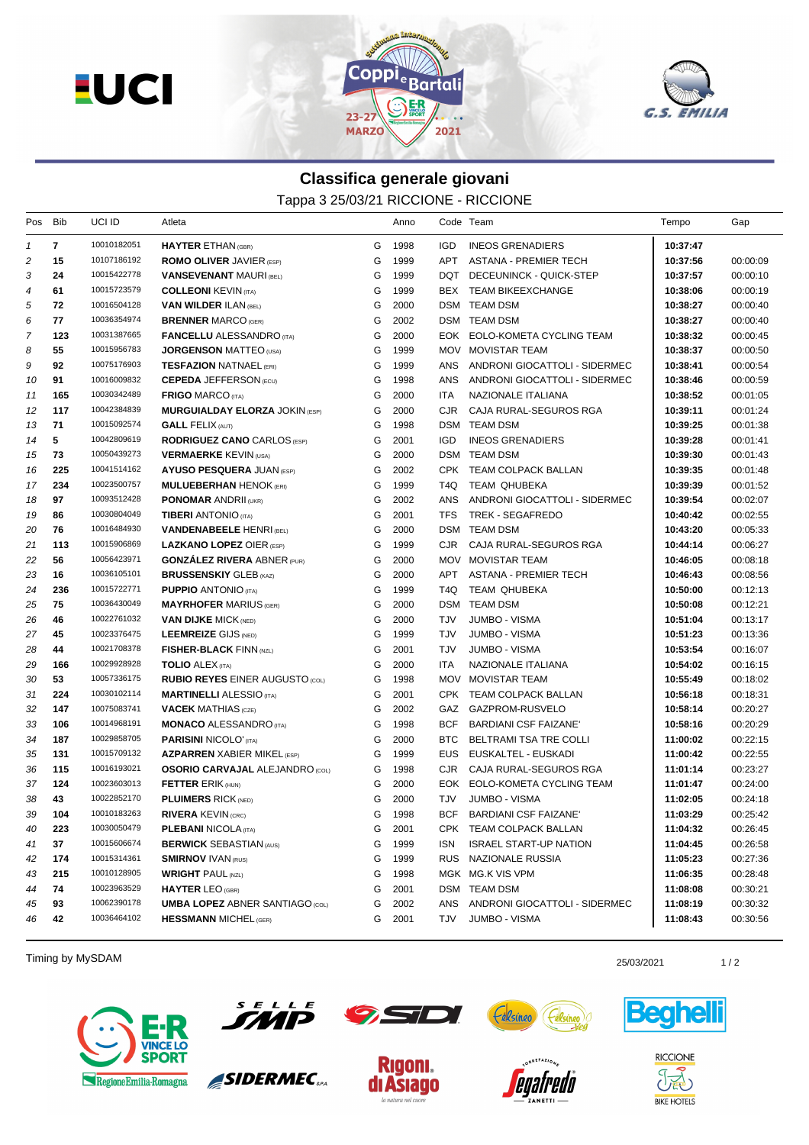**EUCI** 





## **Classifica generale giovani** Tappa 3 25/03/21 RICCIONE - RICCIONE

| Pos           | Bib          | UCI ID      | Atleta                                 |   | Anno |            | Code Team                     | Tempo    | Gap      |
|---------------|--------------|-------------|----------------------------------------|---|------|------------|-------------------------------|----------|----------|
| $\mathcal{I}$ | $\mathbf{7}$ | 10010182051 | <b>HAYTER ETHAN (GBR)</b>              | G | 1998 | <b>IGD</b> | <b>INEOS GRENADIERS</b>       | 10:37:47 |          |
| 2             | 15           | 10107186192 | <b>ROMO OLIVER JAVIER (ESP)</b>        | G | 1999 | APT        | <b>ASTANA - PREMIER TECH</b>  | 10:37:56 | 00:00:09 |
| 3             | 24           | 10015422778 | <b>VANSEVENANT MAURI (BEL)</b>         | G | 1999 |            | DQT DECEUNINCK - QUICK-STEP   | 10:37:57 | 00:00:10 |
| 4             | 61           | 10015723579 | <b>COLLEONI KEVIN (ITA)</b>            | G | 1999 |            | BEX TEAM BIKEEXCHANGE         | 10:38:06 | 00:00:19 |
| 5             | 72           | 10016504128 | <b>VAN WILDER ILAN (BEL)</b>           | G | 2000 |            | DSM TEAM DSM                  | 10:38:27 | 00:00:40 |
| 6             | 77           | 10036354974 | <b>BRENNER MARCO (GER)</b>             | G | 2002 |            | DSM TEAM DSM                  | 10:38:27 | 00:00:40 |
| 7             | 123          | 10031387665 | <b>FANCELLU ALESSANDRO</b> (ITA)       | G | 2000 |            | EOK EOLO-KOMETA CYCLING TEAM  | 10:38:32 | 00:00:45 |
| 8             | 55           | 10015956783 | <b>JORGENSON MATTEO (USA)</b>          | G | 1999 |            | MOV MOVISTAR TEAM             | 10:38:37 | 00:00:50 |
| 9             | 92           | 10075176903 | <b>TESFAZION NATNAEL (ERI)</b>         | G | 1999 | ANS        | ANDRONI GIOCATTOLI - SIDERMEC | 10:38:41 | 00:00:54 |
| 10            | 91           | 10016009832 | <b>CEPEDA JEFFERSON (ECU)</b>          | G | 1998 | ANS        | ANDRONI GIOCATTOLI - SIDERMEC | 10:38:46 | 00:00:59 |
| 11            | 165          | 10030342489 | <b>FRIGO MARCO (ITA)</b>               | G | 2000 | ITA.       | NAZIONALE ITALIANA            | 10:38:52 | 00:01:05 |
| 12            | 117          | 10042384839 | <b>MURGUIALDAY ELORZA JOKIN (ESP)</b>  | G | 2000 | CJR        | CAJA RURAL-SEGUROS RGA        | 10:39:11 | 00:01:24 |
| 13            | 71           | 10015092574 | <b>GALL FELIX (AUT)</b>                | G | 1998 |            | DSM TEAM DSM                  | 10:39:25 | 00:01:38 |
| 14            | 5            | 10042809619 | <b>RODRIGUEZ CANO CARLOS (ESP)</b>     | G | 2001 | IGD        | <b>INEOS GRENADIERS</b>       | 10:39:28 | 00:01:41 |
| 15            | 73           | 10050439273 | <b>VERMAERKE KEVIN (USA)</b>           | G | 2000 |            | DSM TEAM DSM                  | 10:39:30 | 00:01:43 |
| 16            | 225          | 10041514162 | <b>AYUSO PESQUERA JUAN (ESP)</b>       | G | 2002 |            | CPK TEAM COLPACK BALLAN       | 10:39:35 | 00:01:48 |
| 17            | 234          | 10023500757 | <b>MULUEBERHAN HENOK (ERI)</b>         | G | 1999 | T4Q.       | TEAM QHUBEKA                  | 10:39:39 | 00:01:52 |
| 18            | 97           | 10093512428 | <b>PONOMAR ANDRII (UKR)</b>            | G | 2002 | ANS        | ANDRONI GIOCATTOLI - SIDERMEC | 10:39:54 | 00:02:07 |
| 19            | 86           | 10030804049 | <b>TIBERI ANTONIO (ITA)</b>            | G | 2001 | TFS        | TREK - SEGAFREDO              | 10:40:42 | 00:02:55 |
| 20            | 76           | 10016484930 | <b>VANDENABEELE HENRI (BEL)</b>        | G | 2000 |            | DSM TEAM DSM                  | 10:43:20 | 00:05:33 |
| 21            | 113          | 10015906869 | <b>LAZKANO LOPEZ OIER (ESP)</b>        | G | 1999 | CJR        | CAJA RURAL-SEGUROS RGA        | 10:44:14 | 00:06:27 |
| 22            | 56           | 10056423971 | <b>GONZÁLEZ RIVERA ABNER (PUR)</b>     | G | 2000 |            | MOV MOVISTAR TEAM             | 10:46:05 | 00:08:18 |
| 23            | 16           | 10036105101 | <b>BRUSSENSKIY GLEB (KAZ)</b>          | G | 2000 | APT        | ASTANA - PREMIER TECH         | 10:46:43 | 00:08:56 |
| 24            | 236          | 10015722771 | <b>PUPPIO ANTONIO</b> (ITA)            | G | 1999 | T4Q        | TEAM QHUBEKA                  | 10:50:00 | 00:12:13 |
| 25            | 75           | 10036430049 | <b>MAYRHOFER MARIUS (GER)</b>          | G | 2000 | DSM        | <b>TEAM DSM</b>               | 10:50:08 | 00:12:21 |
| 26            | 46           | 10022761032 | <b>VAN DIJKE MICK (NED)</b>            | G | 2000 | TJV        | JUMBO - VISMA                 | 10:51:04 | 00:13:17 |
| 27            | 45           | 10023376475 | <b>LEEMREIZE GIJS (NED)</b>            | G | 1999 | TJV        | <b>JUMBO - VISMA</b>          | 10:51:23 | 00:13:36 |
| 28            | 44           | 10021708378 | <b>FISHER-BLACK FINN (NZL)</b>         | G | 2001 | <b>TJV</b> | JUMBO - VISMA                 | 10:53:54 | 00:16:07 |
| 29            | 166          | 10029928928 | <b>TOLIO ALEX (ITA)</b>                | G | 2000 | <b>ITA</b> | NAZIONALE ITALIANA            | 10:54:02 | 00:16:15 |
| 30            | 53           | 10057336175 | <b>RUBIO REYES EINER AUGUSTO (COL)</b> | G | 1998 | MOV        | <b>MOVISTAR TEAM</b>          | 10:55:49 | 00:18:02 |
| 31            | 224          | 10030102114 | <b>MARTINELLI ALESSIO</b> (ITA)        | G | 2001 | CPK        | TEAM COLPACK BALLAN           | 10:56:18 | 00:18:31 |
| 32            | 147          | 10075083741 | <b>VACEK MATHIAS</b> (CZE)             | G | 2002 |            | GAZ GAZPROM-RUSVELO           | 10:58:14 | 00:20:27 |
| 33            | 106          | 10014968191 | <b>MONACO ALESSANDRO (ITA)</b>         | G | 1998 | BCF        | <b>BARDIANI CSF FAIZANE'</b>  | 10:58:16 | 00:20:29 |
| 34            | 187          | 10029858705 | <b>PARISINI NICOLO' (ITA)</b>          | G | 2000 | BTC        | BELTRAMI TSA TRE COLLI        | 11:00:02 | 00:22:15 |
| 35            | 131          | 10015709132 | <b>AZPARREN XABIER MIKEL (ESP)</b>     | G | 1999 | EUS.       | EUSKALTEL - EUSKADI           | 11:00:42 | 00:22:55 |
| 36            | 115          | 10016193021 | <b>OSORIO CARVAJAL ALEJANDRO</b> (COL) | G | 1998 | CJR.       | CAJA RURAL-SEGUROS RGA        | 11:01:14 | 00:23:27 |
| 37            | 124          | 10023603013 | <b>FETTER ERIK (HUN)</b>               | G | 2000 | EOK        | EOLO-KOMETA CYCLING TEAM      | 11:01:47 | 00:24:00 |
| 38            | 43           | 10022852170 | <b>PLUIMERS RICK (NED)</b>             | G | 2000 | TJV        | <b>JUMBO - VISMA</b>          | 11:02:05 | 00:24:18 |
| 39            | 104          | 10010183263 | <b>RIVERA KEVIN (CRC)</b>              | G | 1998 | BCF        | <b>BARDIANI CSF FAIZANE'</b>  | 11:03:29 | 00:25:42 |
| 40            | 223          | 10030050479 | <b>PLEBANI NICOLA (ITA)</b>            | G | 2001 | CPK        | TEAM COLPACK BALLAN           | 11:04:32 | 00:26:45 |
| 41            | 37           | 10015606674 | <b>BERWICK SEBASTIAN (AUS)</b>         | G | 1999 | ISN        | <b>ISRAEL START-UP NATION</b> | 11:04:45 | 00:26:58 |
| 42            | 174          | 10015314361 | <b>SMIRNOV IVAN (RUS)</b>              | G | 1999 | <b>RUS</b> | NAZIONALE RUSSIA              | 11:05:23 | 00:27:36 |
| 43            | 215          | 10010128905 | <b>WRIGHT PAUL (NZL)</b>               | G | 1998 |            | MGK MG.K VIS VPM              | 11:06:35 | 00:28:48 |
| 44            | 74           | 10023963529 | <b>HAYTER LEO (GBR)</b>                | G | 2001 |            | DSM TEAM DSM                  | 11:08:08 | 00:30:21 |
| 45            | 93           | 10062390178 | <b>UMBA LOPEZ ABNER SANTIAGO (COL)</b> | G | 2002 | ANS        | ANDRONI GIOCATTOLI - SIDERMEC | 11:08:19 | 00:30:32 |
| 46            | 42           | 10036464102 | <b>HESSMANN MICHEL (GER)</b>           | G | 2001 | TJV        | JUMBO - VISMA                 | 11:08:43 | 00:30:56 |

Timing by MySDAM 25/03/2021 25/03/2021 25/03/2021 25/03/2021 25/03/2021 25/03/2021

Félsin





SIDERMEC<sub>SPA</sub>



**75D** 



**Celsineo** 





eguel